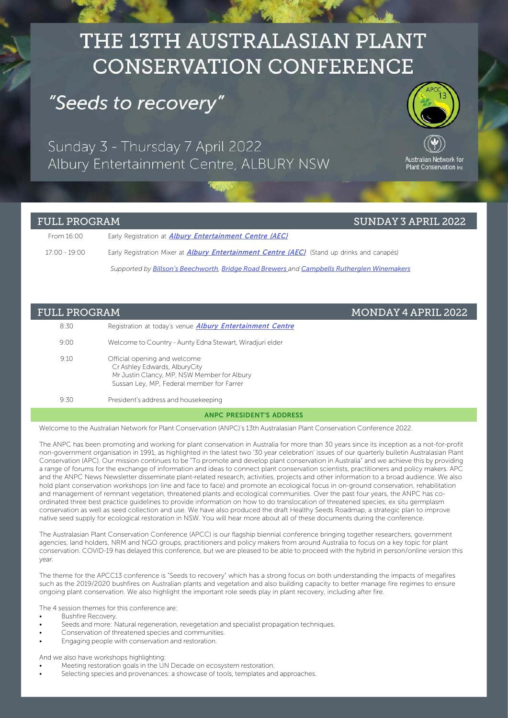# THE 13TH AUSTRALASIAN PLANT **CONSERVATION CONFERENCE**

### "Seeds to recovery"

Sunday 3 - Thursday 7 April 2022 Albury Entertainment Centre, ALBURY NSW



### FULL PROGRAM SUNDAY 3 APRIL 2022

| From 16:00    | Early Registration at <i>Albury Entertainment Centre (AEC)</i>                                     |
|---------------|----------------------------------------------------------------------------------------------------|
| 17:00 - 19:00 | Early Registration Mixer at <i>Albury Entertainment Centre (AEC)</i> (Stand up drinks and canapés) |
|               | Supported by Billson's Beechworth, Bridge Road Brewers and Campbells Rutherglen Winemakers         |

### FULL PROGRAM MONDAY 4 APRIL 2022

| 8:30 | Registration at today's venue <b>Albury Entertainment Centre</b>                                                                                          |
|------|-----------------------------------------------------------------------------------------------------------------------------------------------------------|
| 9:00 | Welcome to Country - Aunty Edna Stewart, Wiradjuri elder                                                                                                  |
| 9.10 | Official opening and welcome<br>Cr Ashley Edwards, AlburyCity<br>Mr Justin Clancy, MP, NSW Member for Albury<br>Sussan Ley, MP, Federal member for Farrer |
| 9:30 | President's address and housekeeping                                                                                                                      |

### ANPC PRESIDENT'S ADDRESS

Welcome to the Australian Network for Plant Conservation (ANPC)'s 13th Australasian Plant Conservation Conference 2022.

The ANPC has been promoting and working for plant conservation in Australia for more than 30 years since its inception as a not-for-profit non-government organisation in 1991, as highlighted in the latest two '30 year celebration' issues of our quarterly bulletin Australasian Plant Conservation (APC). Our mission continues to be "To promote and develop plant conservation in Australia" and we achieve this by providing a range of forums for the exchange of information and ideas to connect plant conservation scientists, practitioners and policy makers. APC and the ANPC News Newsletter disseminate plant-related research, activities, projects and other information to a broad audience. We also hold plant conservation workshops (on line and face to face) and promote an ecological focus in on-ground conservation, rehabilitation and management of remnant vegetation, threatened plants and ecological communities. Over the past four years, the ANPC has coordinated three best practice guidelines to provide information on how to do translocation of threatened species, ex situ germplasm conservation as well as seed collection and use. We have also produced the draft Healthy Seeds Roadmap, a strategic plan to improve native seed supply for ecological restoration in NSW. You will hear more about all of these documents during the conference.

The Australasian Plant Conservation Conference (APCC) is our flagship biennial conference bringing together researchers, government agencies, land holders, NRM and NGO groups, practitioners and policy makers from around Australia to focus on a key topic for plant conservation. COVID-19 has delayed this conference, but we are pleased to be able to proceed with the hybrid in person/online version this year.

The theme for the APCC13 conference is "Seeds to recovery" which has a strong focus on both understanding the impacts of megafires such as the 2019/2020 bushfires on Australian plants and vegetation and also building capacity to better manage fire regimes to ensure ongoing plant conservation. We also highlight the important role seeds play in plant recovery, including after fire.

The 4 session themes for this conference are:

- Bushfire Recovery.
- Seeds and more: Natural regeneration, revegetation and specialist propagation techniques.
- Conservation of threatened species and communities.
- Engaging people with conservation and restoration.

And we also have workshops highlighting:

- Meeting restoration goals in the UN Decade on ecosystem restoration.
- Selecting species and provenances: a showcase of tools, templates and approaches.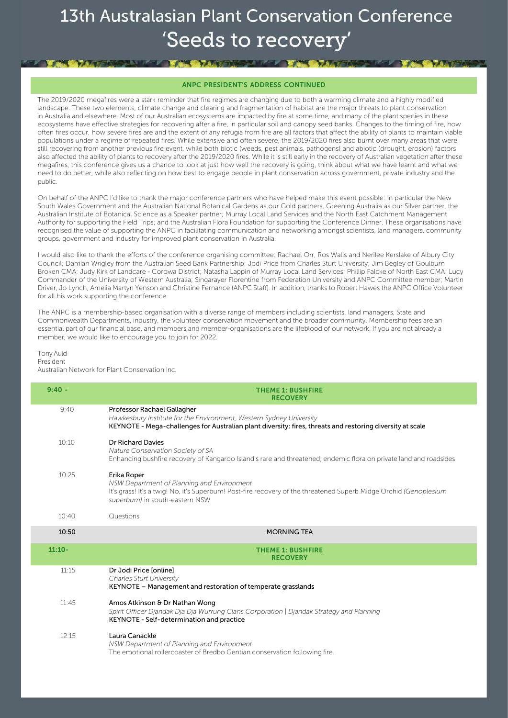**ART YA WART AND MY WANTED** 

#### ANPC PRESIDENT'S ADDRESS CONTINUED

The 2019/2020 megafires were a stark reminder that fire regimes are changing due to both a warming climate and a highly modified landscape. These two elements, climate change and clearing and fragmentation of habitat are the major threats to plant conservation in Australia and elsewhere. Most of our Australian ecosystems are impacted by fire at some time, and many of the plant species in these ecosystems have effective strategies for recovering after a fire, in particular soil and canopy seed banks. Changes to the timing of fire, how often fires occur, how severe fires are and the extent of any refugia from fire are all factors that affect the ability of plants to maintain viable populations under a regime of repeated fires. While extensive and often severe, the 2019/2020 fires also burnt over many areas that were still recovering from another previous fire event, while both biotic (weeds, pest animals, pathogens) and abiotic (drought, erosion) factors also affected the ability of plants to recovery after the 2019/2020 fires. While it is still early in the recovery of Australian vegetation after these megafires, this conference gives us a chance to look at just how well the recovery is going, think about what we have learnt and what we need to do better, while also reflecting on how best to engage people in plant conservation across government, private industry and the public.

On behalf of the ANPC I'd like to thank the major conference partners who have helped make this event possible: in particular the New South Wales Government and the Australian National Botanical Gardens as our Gold partners, Greening Australia as our Silver partner, the Australian Institute of Botanical Science as a Speaker partner; Murray Local Land Services and the North East Catchment Management Authority for supporting the Field Trips; and the Australian Flora Foundation for supporting the Conference Dinner. These organisations have recognised the value of supporting the ANPC in facilitating communication and networking amongst scientists, land managers, community groups, government and industry for improved plant conservation in Australia.

I would also like to thank the efforts of the conference organising committee: Rachael Orr, Ros Walls and Nerilee Kerslake of Albury City Council; Damian Wrigley from the Australian Seed Bank Partnership; Jodi Price from Charles Sturt University; Jim Begley of Goulburn Broken CMA; Judy Kirk of Landcare - Corowa District; Natasha Lappin of Murray Local Land Services; Phillip Falcke of North East CMA; Lucy Commander of the University of Western Australia; Singarayer Florentine from Federation University and ANPC Committee member; Martin Driver, Jo Lynch, Amelia Martyn Yenson and Christine Fernance (ANPC Staff). In addition, thanks to Robert Hawes the ANPC Office Volunteer for all his work supporting the conference.

The ANPC is a membership-based organisation with a diverse range of members including scientists, land managers, State and Commonwealth Departments, industry, the volunteer conservation movement and the broader community. Membership fees are an essential part of our financial base, and members and member-organisations are the lifeblood of our network. If you are not already a member, we would like to encourage you to join for 2022.

#### Tony Auld President Australian Network for Plant Conservation Inc.

**THE WARD IN THE WARD** 

| $9:40 -$ | <b>THEME 1: BUSHFIRE</b><br><b>RECOVERY</b>                                                                                                                                                                      |
|----------|------------------------------------------------------------------------------------------------------------------------------------------------------------------------------------------------------------------|
| 9:40     | Professor Rachael Gallagher<br>Hawkesbury Institute for the Environment, Western Sydney University<br>KEYNOTE - Mega-challenges for Australian plant diversity: fires, threats and restoring diversity at scale  |
| 10:10    | Dr Richard Davies<br>Nature Conservation Society of SA<br>Enhancing bushfire recovery of Kangaroo Island's rare and threatened, endemic flora on private land and roadsides                                      |
| 10:25    | Erika Roper<br>NSW Department of Planning and Environment<br>It's grass! It's a twig! No, it's Superbum! Post-fire recovery of the threatened Superb Midge Orchid (Genoplesium<br>superbum) in south-eastern NSW |
| 10:40    | Questions                                                                                                                                                                                                        |
| 10:50    | <b>MORNING TEA</b>                                                                                                                                                                                               |
| $11:10-$ | <b>THEME 1: BUSHFIRE</b>                                                                                                                                                                                         |
|          | <b>RECOVERY</b>                                                                                                                                                                                                  |
| 11:15    | Dr Jodi Price Jonlinel<br>Charles Sturt University<br>KEYNOTE – Management and restoration of temperate grasslands                                                                                               |
| 11:45    | Amos Atkinson & Dr Nathan Wong<br>Spirit Officer Djandak Dja Dja Wurrung Clans Corporation   Djandak Strategy and Planning<br>KEYNOTE - Self-determination and practice                                          |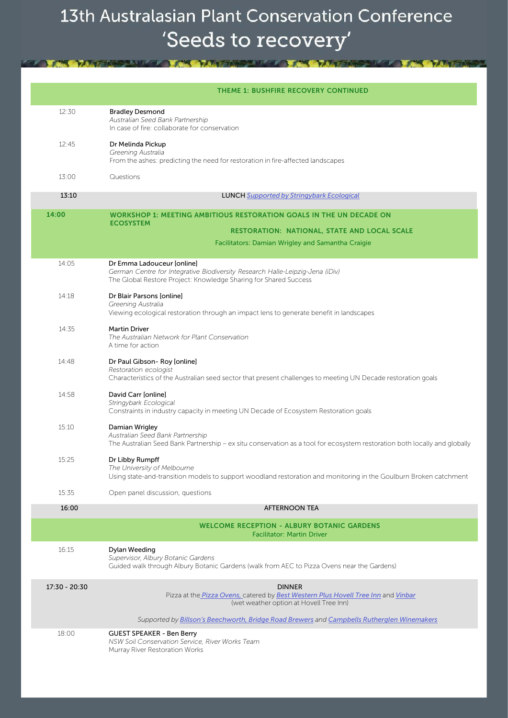|                 | <b>THEME 1: BUSHFIRE RECOVERY CONTINUED</b>                                                                                                                                                  |
|-----------------|----------------------------------------------------------------------------------------------------------------------------------------------------------------------------------------------|
| 12:30           | <b>Bradley Desmond</b><br>Australian Seed Bank Partnership<br>In case of fire: collaborate for conservation                                                                                  |
| 12:45           | Dr Melinda Pickup<br>Greening Australia<br>From the ashes: predicting the need for restoration in fire-affected landscapes                                                                   |
| 13:00           | Questions                                                                                                                                                                                    |
| 13:10           | <b>LUNCH Supported by Stringybark Ecological</b>                                                                                                                                             |
| 14:00           | WORKSHOP 1: MEETING AMBITIOUS RESTORATION GOALS IN THE UN DECADE ON<br><b>ECOSYSTEM</b><br>RESTORATION: NATIONAL, STATE AND LOCAL SCALE<br>Facilitators: Damian Wrigley and Samantha Craigie |
| 14:05           | Dr Emma Ladouceur [online]<br>German Centre for Integrative Biodiversity Research Halle-Leipzig-Jena (iDiv)<br>The Global Restore Project: Knowledge Sharing for Shared Success              |
| 14:18           | Dr Blair Parsons [online]<br>Greening Australia<br>Viewing ecological restoration through an impact lens to generate benefit in landscapes                                                   |
| 14:35           | <b>Martin Driver</b><br>The Australian Network for Plant Conservation<br>A time for action                                                                                                   |
| 14:48           | Dr Paul Gibson-Roy [online]<br>Restoration ecologist<br>Characteristics of the Australian seed sector that present challenges to meeting UN Decade restoration goals                         |
| 14:58           | David Carr [online]<br>Stringybark Ecological<br>Constraints in industry capacity in meeting UN Decade of Ecosystem Restoration goals                                                        |
| 15:10           | Damian Wrigley<br>Australian Seed Bank Partnership<br>The Australian Seed Bank Partnership - ex situ conservation as a tool for ecosystem restoration both locally and globally              |
| 15:25           | Dr Libby Rumpff<br>The University of Melbourne<br>Using state-and-transition models to support woodland restoration and monitoring in the Goulburn Broken catchment                          |
| 15:35           | Open panel discussion, questions                                                                                                                                                             |
| 16:00           | <b>AFTERNOON TEA</b>                                                                                                                                                                         |
|                 | <b>WELCOME RECEPTION - ALBURY BOTANIC GARDENS</b><br><b>Facilitator: Martin Driver</b>                                                                                                       |
| 16:15           | Dylan Weeding<br>Supervisor, Albury Botanic Gardens<br>Guided walk through Albury Botanic Gardens (walk from AEC to Pizza Ovens near the Gardens)                                            |
| $17:30 - 20:30$ | <b>DINNER</b><br>Pizza at the Pizza Ovens, catered by Best Western Plus Hovell Tree Inn and Vinbar<br>(wet weather option at Hovell Tree Inn)                                                |
|                 | Supported by Billson's Beechworth, Bridge Road Brewers and Campbells Rutherglen Winemakers                                                                                                   |
| 18:00           | <b>GUEST SPEAKER - Ben Berry</b><br>NSW Soil Conservation Service, River Works Team<br>Murray River Restoration Works                                                                        |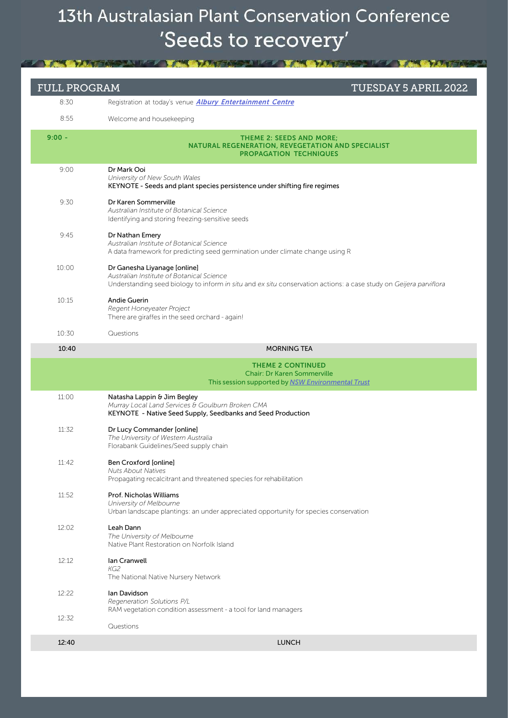| <b>FULL PROGRAM</b> | TUESDAY 5 APRIL 2022                                                                                                                                                                           |
|---------------------|------------------------------------------------------------------------------------------------------------------------------------------------------------------------------------------------|
| 8:30                | Registration at today's venue <i>Albury Entertainment Centre</i>                                                                                                                               |
| 8:55                | Welcome and housekeeping                                                                                                                                                                       |
| $9:00 -$            | <b>THEME 2: SEEDS AND MORE;</b><br><b>NATURAL REGENERATION, REVEGETATION AND SPECIALIST</b><br><b>PROPAGATION TECHNIQUES</b>                                                                   |
| 9:00                | Dr Mark Ooi<br>University of New South Wales<br>KEYNOTE - Seeds and plant species persistence under shifting fire regimes                                                                      |
| 9:30                | Dr Karen Sommerville<br>Australian Institute of Botanical Science<br>Identifying and storing freezing-sensitive seeds                                                                          |
| 9:45                | Dr Nathan Emery<br>Australian Institute of Botanical Science<br>A data framework for predicting seed germination under climate change using R                                                  |
| 10:00               | Dr Ganesha Liyanage [online]<br>Australian Institute of Botanical Science<br>Understanding seed biology to inform in situ and ex situ conservation actions: a case study on Geijera parviflora |
| 10:15               | Andie Guerin<br>Regent Honeyeater Project<br>There are giraffes in the seed orchard - again!                                                                                                   |
| 10:30               | Questions                                                                                                                                                                                      |
| 10:40               | <b>MORNING TEA</b>                                                                                                                                                                             |
|                     | <b>THEME 2 CONTINUED</b><br><b>Chair: Dr Karen Sommerville</b><br>This session supported by NSW Environmental Trust                                                                            |
| 11:00               | Natasha Lappin & Jim Begley<br>Murray Local Land Services & Goulburn Broken CMA<br>KEYNOTE - Native Seed Supply, Seedbanks and Seed Production                                                 |
| 11:32               | Dr Lucy Commander [online]<br>The University of Western Australia<br>Florabank Guidelines/Seed supply chain                                                                                    |
| 11:42               | Ben Croxford [online]<br><b>Nuts About Natives</b><br>Propagating recalcitrant and threatened species for rehabilitation                                                                       |
| 11:52               | Prof. Nicholas Williams<br>University of Melbourne<br>Urban landscape plantings: an under appreciated opportunity for species conservation                                                     |
| 12:02               | Leah Dann<br>The University of Melbourne<br>Native Plant Restoration on Norfolk Island                                                                                                         |
| 12:12               | Ian Cranwell<br>KG2<br>The National Native Nursery Network                                                                                                                                     |
| 12:22               | lan Davidson<br>Regeneration Solutions P/L<br>RAM vegetation condition assessment - a tool for land managers                                                                                   |
| 12:32               | Questions                                                                                                                                                                                      |
| 12:40               | <b>LUNCH</b>                                                                                                                                                                                   |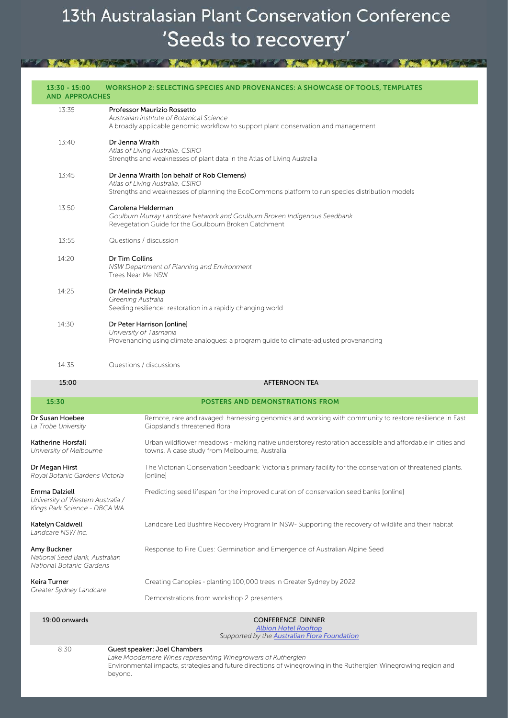| $13:30 - 15:00$<br><b>AND APPROACHES</b>                                           | WORKSHOP 2: SELECTING SPECIES AND PROVENANCES: A SHOWCASE OF TOOLS, TEMPLATES                                                                                                     |
|------------------------------------------------------------------------------------|-----------------------------------------------------------------------------------------------------------------------------------------------------------------------------------|
| 13:35                                                                              | Professor Maurizio Rossetto<br>Australian institute of Botanical Science<br>A broadly applicable genomic workflow to support plant conservation and management                    |
| 13:40                                                                              | Dr Jenna Wraith<br>Atlas of Living Australia, CSIRO<br>Strengths and weaknesses of plant data in the Atlas of Living Australia                                                    |
| 13:45                                                                              | Dr Jenna Wraith (on behalf of Rob Clemens)<br>Atlas of Living Australia, CSIRO<br>Strengths and weaknesses of planning the EcoCommons platform to run species distribution models |
| 13:50                                                                              | Carolena Helderman<br>Goulburn Murray Landcare Network and Goulburn Broken Indigenous Seedbank<br>Revegetation Guide for the Goulbourn Broken Catchment                           |
| 13:55                                                                              | Questions / discussion                                                                                                                                                            |
| 14:20                                                                              | Dr Tim Collins<br>NSW Department of Planning and Environment<br>Trees Near Me NSW                                                                                                 |
| 14:25                                                                              | Dr Melinda Pickup<br>Greening Australia<br>Seeding resilience: restoration in a rapidly changing world                                                                            |
| 14:30                                                                              | Dr Peter Harrison [online]<br>University of Tasmania<br>Provenancing using climate analogues: a program guide to climate-adjusted provenancing                                    |
| 14:35                                                                              | Questions / discussions                                                                                                                                                           |
| 15:00                                                                              | <b>AFTERNOON TEA</b>                                                                                                                                                              |
| 15:30                                                                              | POSTERS AND DEMONSTRATIONS FROM                                                                                                                                                   |
| Dr Susan Hoebee<br>La Trobe University                                             | Remote, rare and ravaged: harnessing genomics and working with community to restore resilience in East<br>Gippsland's threatened flora                                            |
| Katherine Horsfall<br>University of Melbourne                                      | Urban wildflower meadows - making native understorey restoration accessible and affordable in cities and<br>towns. A case study from Melbourne, Australia                         |
| Dr Megan Hirst<br>Royal Botanic Gardens Victoria                                   | The Victorian Conservation Seedbank: Victoria's primary facility for the conservation of threatened plants.<br>[online]                                                           |
| Emma Dalziell<br>University of Western Australia /<br>Kings Park Science - DBCA WA | Predicting seed lifespan for the improved curation of conservation seed banks [online]                                                                                            |
| Katelyn Caldwell<br>Landcare NSW Inc.                                              | Landcare Led Bushfire Recovery Program In NSW- Supporting the recovery of wildlife and their habitat                                                                              |
| Amy Buckner<br>National Seed Bank, Australian<br>National Botanic Gardens          | Response to Fire Cues: Germination and Emergence of Australian Alpine Seed                                                                                                        |
| Keira Turner<br>Greater Sydney Landcare                                            | Creating Canopies - planting 100,000 trees in Greater Sydney by 2022                                                                                                              |
|                                                                                    | Demonstrations from workshop 2 presenters                                                                                                                                         |
| 19:00 onwards                                                                      | CONFERENCE DINNER<br><u> Albion Hotel Rooftop</u><br>Supported by the <b>Australian Flora Foundation</b>                                                                          |
| 8:30                                                                               | Guest speaker: Joel Chambers<br>Lake Moodemere Wines representing Winegrowers of Rutherglen                                                                                       |

Environmental impacts, strategies and future directions of winegrowing in the Rutherglen Winegrowing region and

beyond.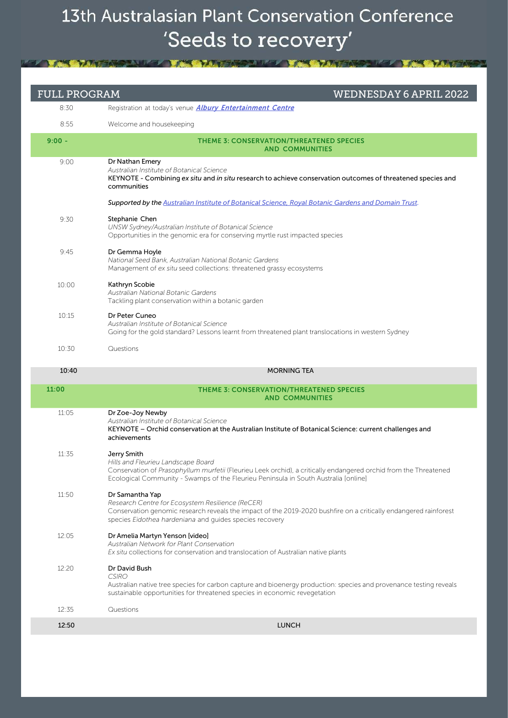| <b>FULL PROGRAM</b> | <b>WEDNESDAY 6 APRIL 2022</b>                                                                                                                                                                                                                                |
|---------------------|--------------------------------------------------------------------------------------------------------------------------------------------------------------------------------------------------------------------------------------------------------------|
| 8:30                | Registration at today's venue <i>Albury Entertainment Centre</i>                                                                                                                                                                                             |
| 8:55                | Welcome and housekeeping                                                                                                                                                                                                                                     |
| $9:00 -$            | <b>THEME 3: CONSERVATION/THREATENED SPECIES</b><br><b>AND COMMUNITIES</b>                                                                                                                                                                                    |
| 9:00                | Dr Nathan Emery<br>Australian Institute of Botanical Science<br>KEYNOTE - Combining ex situ and in situ research to achieve conservation outcomes of threatened species and<br>communities                                                                   |
|                     | Supported by the Australian Institute of Botanical Science, Royal Botanic Gardens and Domain Trust.                                                                                                                                                          |
| 9:30                | Stephanie Chen<br>UNSW Sydney/Australian Institute of Botanical Science<br>Opportunities in the genomic era for conserving myrtle rust impacted species                                                                                                      |
| 9:45                | Dr Gemma Hoyle<br>National Seed Bank, Australian National Botanic Gardens<br>Management of ex situ seed collections: threatened grassy ecosystems                                                                                                            |
| 10:00               | Kathryn Scobie<br>Australian National Botanic Gardens<br>Tackling plant conservation within a botanic garden                                                                                                                                                 |
| 10:15               | Dr Peter Cuneo<br>Australian Institute of Botanical Science<br>Going for the gold standard? Lessons learnt from threatened plant translocations in western Sydney                                                                                            |
| 10:30               | Questions                                                                                                                                                                                                                                                    |
| 10:40               | <b>MORNING TEA</b>                                                                                                                                                                                                                                           |
| 11:00               | <b>THEME 3: CONSERVATION/THREATENED SPECIES</b><br><b>AND COMMUNITIES</b>                                                                                                                                                                                    |
| 11:05               | Dr Zoe-Joy Newby<br>Australian Institute of Botanical Science<br>KEYNOTE - Orchid conservation at the Australian Institute of Botanical Science: current challenges and<br>achievements                                                                      |
| 11:35               | Jerry Smith<br>Hills and Fleurieu Landscape Board<br>Conservation of Prasophyllum murfetii (Fleurieu Leek orchid), a critically endangered orchid from the Threatened<br>Ecological Community - Swamps of the Fleurieu Peninsula in South Australia [online] |
| 11:50               | Dr Samantha Yap<br>Research Centre for Ecosystem Resilience (ReCER)<br>Conservation genomic research reveals the impact of the 2019-2020 bushfire on a critically endangered rainforest<br>species Eidothea hardeniana and guides species recovery           |
| 12:05               | Dr Amelia Martyn Yenson [video]<br>Australian Network for Plant Conservation<br>Ex situ collections for conservation and translocation of Australian native plants                                                                                           |
| 12:20               | Dr David Bush<br><b>CSIRO</b><br>Australian native tree species for carbon capture and bioenergy production: species and provenance testing reveals<br>sustainable opportunities for threatened species in economic revegetation                             |
|                     |                                                                                                                                                                                                                                                              |
| 12:35               | Questions                                                                                                                                                                                                                                                    |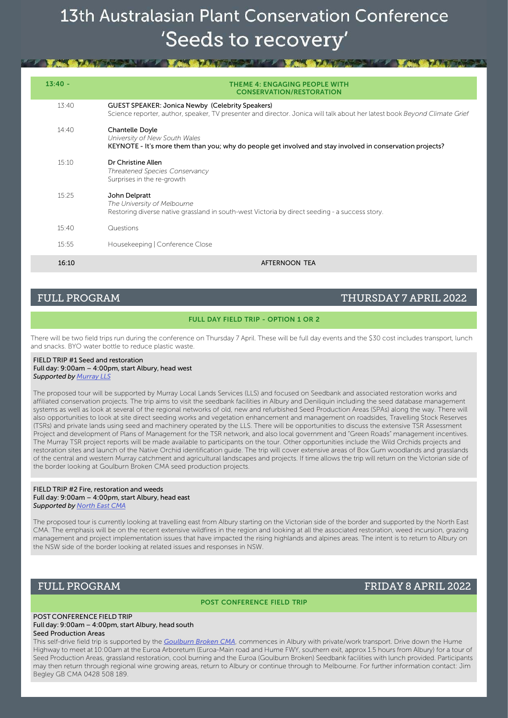KILLEY AN WAS ARRESTED FOR THE WAS ARRESTED FOR THE WAS ARRESTED FOR THE WAS ARRESTED FOR

| $13:40 -$ | <b>THEME 4: ENGAGING PEOPLE WITH</b><br><b>CONSERVATION/RESTORATION</b>                                                                                                              |
|-----------|--------------------------------------------------------------------------------------------------------------------------------------------------------------------------------------|
| 13:40     | <b>GUEST SPEAKER: Jonica Newby (Celebrity Speakers)</b><br>Science reporter, author, speaker, TV presenter and director. Jonica will talk about her latest book Beyond Climate Grief |
| 14:40     | <b>Chantelle Doyle</b><br>University of New South Wales<br>KEYNOTE - It's more them than you; why do people get involved and stay involved in conservation projects?                 |
| 15:10     | Dr Christine Allen<br>Threatened Species Conservancy<br>Surprises in the re-growth                                                                                                   |
| 15:25     | John Delpratt<br>The University of Melbourne<br>Restoring diverse native grassland in south-west Victoria by direct seeding - a success story.                                       |
| 15:40     | Questions                                                                                                                                                                            |
| 15:55     | Housekeeping   Conference Close                                                                                                                                                      |
| 16:10     | AFTERNOON TEA                                                                                                                                                                        |

FULL PROGRAM THURSDAY 7 APRIL 2022

#### FULL DAY FIELD TRIP - OPTION 1 OR 2

There will be two field trips run during the conference on Thursday 7 April. These will be full day events and the \$30 cost includes transport, lunch and snacks. BYO water bottle to reduce plastic waste.

#### FIELD TRIP #1 Seed and restoration Full day: 9:00am – 4:00pm, start Albury, head west *Supported by Murray LLS*

The proposed tour will be supported by Murray Local Lands Services (LLS) and focused on Seedbank and associated restoration works and affiliated conservation projects. The trip aims to visit the seedbank facilities in Albury and Deniliquin including the seed database management systems as well as look at several of the regional networks of old, new and refurbished Seed Production Areas (SPAs) along the way. There will also opportunities to look at site direct seeding works and vegetation enhancement and management on roadsides, Travelling Stock Reserves (TSRs) and private lands using seed and machinery operated by the LLS. There will be opportunities to discuss the extensive TSR Assessment Project and development of Plans of Management for the TSR network, and also local government and "Green Roads" management incentives. The Murray TSR project reports will be made available to participants on the tour. Other opportunities include the Wild Orchids projects and restoration sites and launch of the Native Orchid identification guide. The trip will cover extensive areas of Box Gum woodlands and grasslands of the central and western Murray catchment and agricultural landscapes and projects. If time allows the trip will return on the Victorian side of the border looking at Goulburn Broken CMA seed production projects.

#### FIELD TRIP #2 Fire, restoration and weeds Full day: 9:00am – 4:00pm, start Albury, head east *Supported by North East CMA*

The proposed tour is currently looking at travelling east from Albury starting on the Victorian side of the border and supported by the North East CMA. The emphasis will be on the recent extensive wildfires in the region and looking at all the associated restoration, weed incursion, grazing management and project implementation issues that have impacted the rising highlands and alpines areas. The intent is to return to Albury on the NSW side of the border looking at related issues and responses in NSW.

### FULL PROGRAM FRIDAY 8 APRIL 2022

POST CONFERENCE FIELD TRIP

#### POST CONFERENCE FIELD TRIP Full day: 9:00am – 4:00pm, start Albury, head south Seed Production Areas

This self-drive field trip is supported by the *Goulburn Broken CMA*, commences in Albury with private/work transport. Drive down the Hume Highway to meet at 10:00am at the Euroa Arboretum (Euroa-Main road and Hume FWY, southern exit, approx 1.5 hours from Albury) for a tour of Seed Production Areas, grassland restoration, cool burning and the Euroa (Goulburn Broken) Seedbank facilities with lunch provided. Participants may then return through regional wine growing areas, return to Albury or continue through to Melbourne. For further information contact: Jim Begley GB CMA 0428 508 189.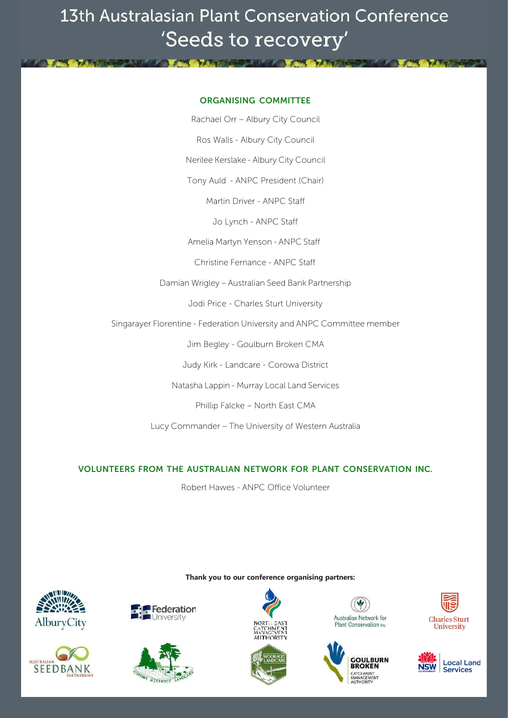**MEL WARD LEADER AND LATER AT A LITTLE AND LODGED** 

### ORGANISING COMMITTEE

Rachael Orr – Albury City Council

Ros Walls - Albury City Council

Nerilee Kerslake - Albury City Council

Tony Auld - ANPC President (Chair)

Martin Driver - ANPC Staff

Jo Lynch - ANPC Staff

Amelia Martyn Yenson - ANPC Staff

Christine Fernance - ANPC Staff

Damian Wrigley – Australian Seed Bank Partnership

Jodi Price - Charles Sturt University

Singarayer Florentine - Federation University and ANPC Committee member

Jim Begley - Goulburn Broken CMA

Judy Kirk - Landcare - Corowa District

Natasha Lappin - Murray Local Land Services

Phillip Falcke – North East CMA

Lucy Commander – The University of Western Australia

### VOLUNTEERS FROM THE AUSTRALIAN NETWORK FOR PLANT CONSERVATION INC.

Robert Hawes - ANPC Office Volunteer











**Thank you to our conference organising partners:**



**IN YOUR BY AND THREE INC. YOU REMAINS AND THREE** 





**Charles Sturt** University



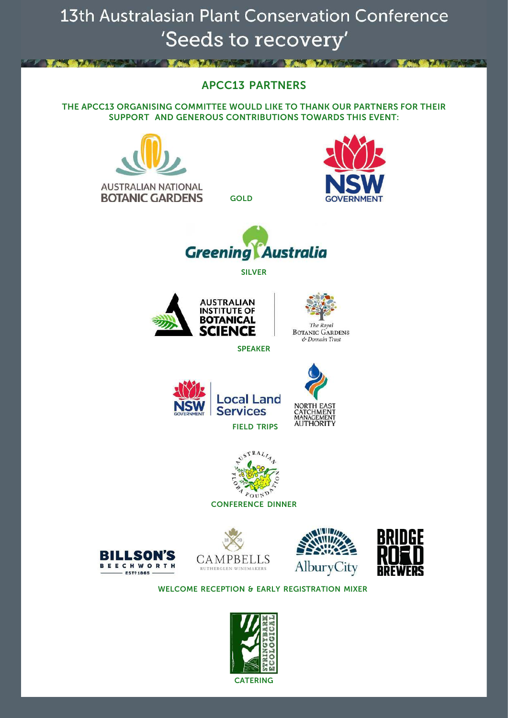### APCC13 PARTNERS

**MEAL AND AND ARRANGEMENT AND AND ARRANGEMENT AND ARRANGEMENT AND ARRANGEMENT AND ARRANGEMENT AND ARRANGEMENT AND** 

THE APCC13 ORGANISING COMMITTEE WOULD LIKE TO THANK OUR PARTNERS FOR THEIR SUPPORT AND GENEROUS CONTRIBUTIONS TOWARDS THIS EVENT:



**AUSTRALIAN NATIONAL BOTANIC GARDENS** GOLD



SILVER





SPEAKER















### WELCOME RECEPTION & EARLY REGISTRATION MIXER